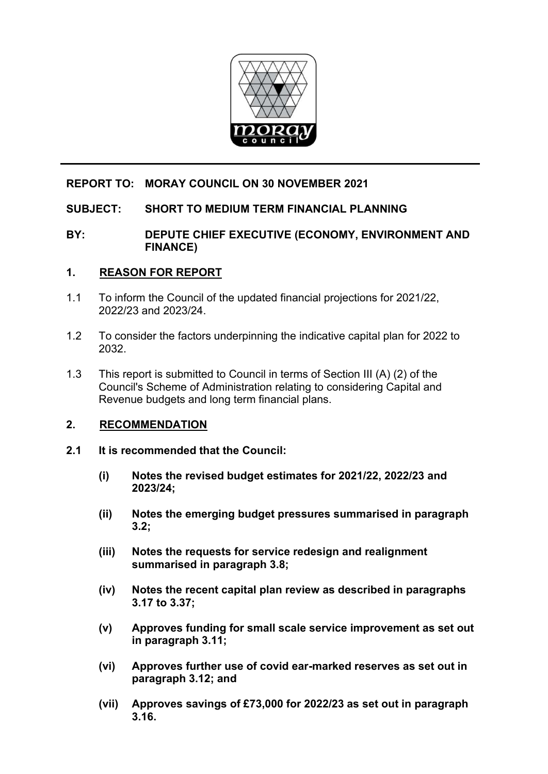

# **REPORT TO: MORAY COUNCIL ON 30 NOVEMBER 2021**

# **SUBJECT: SHORT TO MEDIUM TERM FINANCIAL PLANNING**

## **BY: DEPUTE CHIEF EXECUTIVE (ECONOMY, ENVIRONMENT AND FINANCE)**

### **1. REASON FOR REPORT**

- 1.1 To inform the Council of the updated financial projections for 2021/22, 2022/23 and 2023/24.
- 1.2 To consider the factors underpinning the indicative capital plan for 2022 to 2032.
- 1.3 This report is submitted to Council in terms of Section III (A) (2) of the Council's Scheme of Administration relating to considering Capital and Revenue budgets and long term financial plans.

### **2. RECOMMENDATION**

- **2.1 It is recommended that the Council:** 
	- **(i) Notes the revised budget estimates for 2021/22, 2022/23 and 2023/24;**
	- **(ii) Notes the emerging budget pressures summarised in paragraph 3.2;**
	- **(iii) Notes the requests for service redesign and realignment summarised in paragraph 3.8;**
	- **(iv) Notes the recent capital plan review as described in paragraphs 3.17 to 3.37;**
	- **(v) Approves funding for small scale service improvement as set out in paragraph 3.11;**
	- **(vi) Approves further use of covid ear-marked reserves as set out in paragraph 3.12; and**
	- **(vii) Approves savings of £73,000 for 2022/23 as set out in paragraph 3.16.**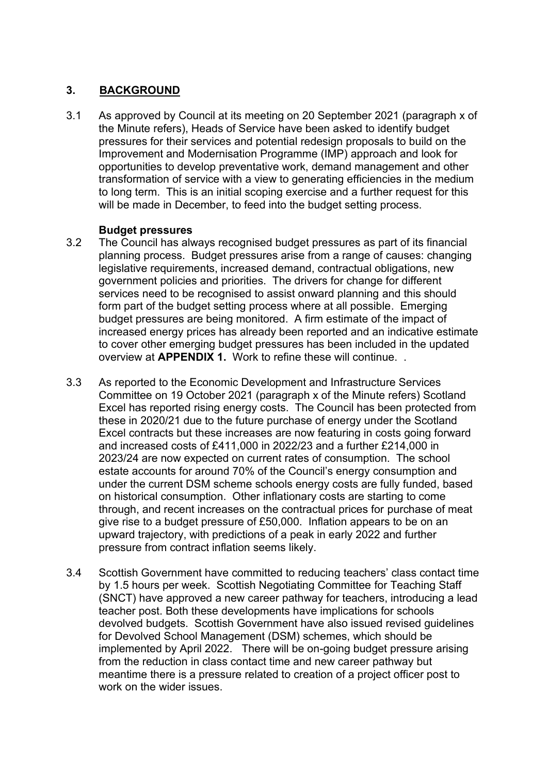# **3. BACKGROUND**

3.1 As approved by Council at its meeting on 20 September 2021 (paragraph x of the Minute refers), Heads of Service have been asked to identify budget pressures for their services and potential redesign proposals to build on the Improvement and Modernisation Programme (IMP) approach and look for opportunities to develop preventative work, demand management and other transformation of service with a view to generating efficiencies in the medium to long term. This is an initial scoping exercise and a further request for this will be made in December, to feed into the budget setting process.

# **Budget pressures**

- 3.2 The Council has always recognised budget pressures as part of its financial planning process. Budget pressures arise from a range of causes: changing legislative requirements, increased demand, contractual obligations, new government policies and priorities. The drivers for change for different services need to be recognised to assist onward planning and this should form part of the budget setting process where at all possible. Emerging budget pressures are being monitored. A firm estimate of the impact of increased energy prices has already been reported and an indicative estimate to cover other emerging budget pressures has been included in the updated overview at **APPENDIX 1.** Work to refine these will continue. .
- 3.3 As reported to the Economic Development and Infrastructure Services Committee on 19 October 2021 (paragraph x of the Minute refers) Scotland Excel has reported rising energy costs. The Council has been protected from these in 2020/21 due to the future purchase of energy under the Scotland Excel contracts but these increases are now featuring in costs going forward and increased costs of £411,000 in 2022/23 and a further £214,000 in 2023/24 are now expected on current rates of consumption. The school estate accounts for around 70% of the Council's energy consumption and under the current DSM scheme schools energy costs are fully funded, based on historical consumption. Other inflationary costs are starting to come through, and recent increases on the contractual prices for purchase of meat give rise to a budget pressure of £50,000. Inflation appears to be on an upward trajectory, with predictions of a peak in early 2022 and further pressure from contract inflation seems likely.
- 3.4 Scottish Government have committed to reducing teachers' class contact time by 1.5 hours per week. Scottish Negotiating Committee for Teaching Staff (SNCT) have approved a new career pathway for teachers, introducing a lead teacher post. Both these developments have implications for schools devolved budgets. Scottish Government have also issued revised guidelines for Devolved School Management (DSM) schemes, which should be implemented by April 2022. There will be on-going budget pressure arising from the reduction in class contact time and new career pathway but meantime there is a pressure related to creation of a project officer post to work on the wider issues.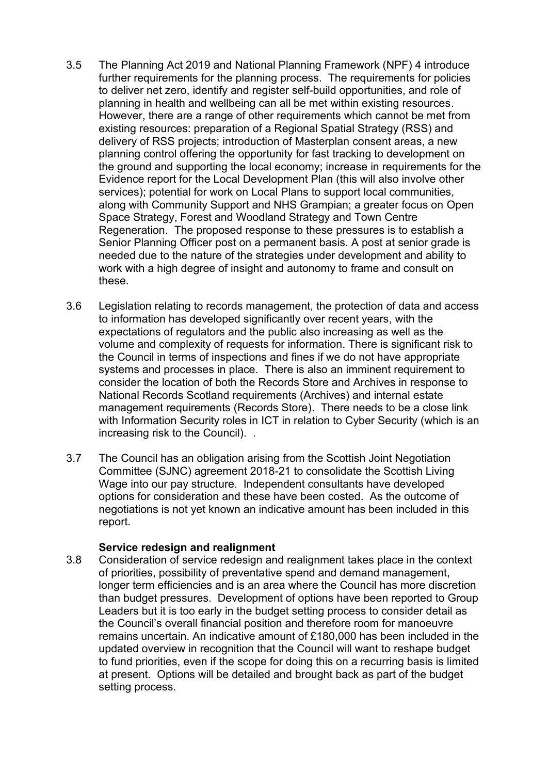- 3.5 The Planning Act 2019 and National Planning Framework (NPF) 4 introduce further requirements for the planning process. The requirements for policies to deliver net zero, identify and register self-build opportunities, and role of planning in health and wellbeing can all be met within existing resources. However, there are a range of other requirements which cannot be met from existing resources: preparation of a Regional Spatial Strategy (RSS) and delivery of RSS projects; introduction of Masterplan consent areas, a new planning control offering the opportunity for fast tracking to development on the ground and supporting the local economy; increase in requirements for the Evidence report for the Local Development Plan (this will also involve other services); potential for work on Local Plans to support local communities, along with Community Support and NHS Grampian; a greater focus on Open Space Strategy, Forest and Woodland Strategy and Town Centre Regeneration. The proposed response to these pressures is to establish a Senior Planning Officer post on a permanent basis. A post at senior grade is needed due to the nature of the strategies under development and ability to work with a high degree of insight and autonomy to frame and consult on these.
- 3.6 Legislation relating to records management, the protection of data and access to information has developed significantly over recent years, with the expectations of regulators and the public also increasing as well as the volume and complexity of requests for information. There is significant risk to the Council in terms of inspections and fines if we do not have appropriate systems and processes in place. There is also an imminent requirement to consider the location of both the Records Store and Archives in response to National Records Scotland requirements (Archives) and internal estate management requirements (Records Store). There needs to be a close link with Information Security roles in ICT in relation to Cyber Security (which is an increasing risk to the Council). .
- 3.7 The Council has an obligation arising from the Scottish Joint Negotiation Committee (SJNC) agreement 2018-21 to consolidate the Scottish Living Wage into our pay structure. Independent consultants have developed options for consideration and these have been costed. As the outcome of negotiations is not yet known an indicative amount has been included in this report.

### **Service redesign and realignment**

3.8 Consideration of service redesign and realignment takes place in the context of priorities, possibility of preventative spend and demand management, longer term efficiencies and is an area where the Council has more discretion than budget pressures. Development of options have been reported to Group Leaders but it is too early in the budget setting process to consider detail as the Council's overall financial position and therefore room for manoeuvre remains uncertain. An indicative amount of £180,000 has been included in the updated overview in recognition that the Council will want to reshape budget to fund priorities, even if the scope for doing this on a recurring basis is limited at present. Options will be detailed and brought back as part of the budget setting process.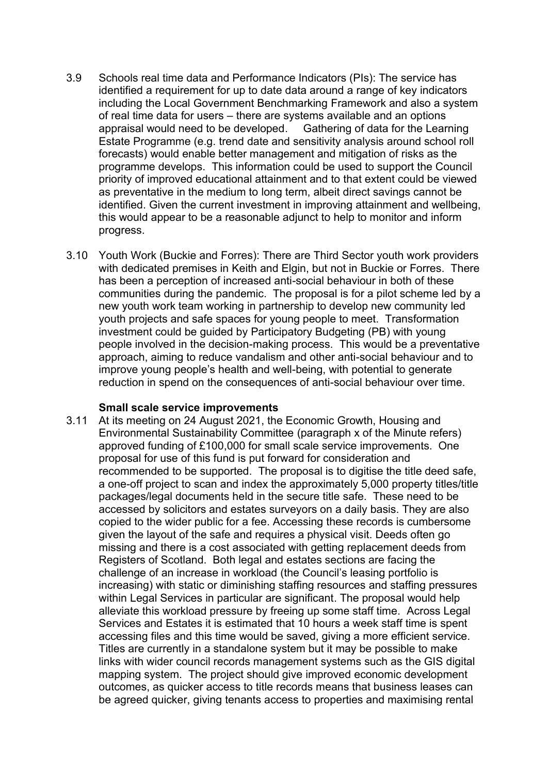- 3.9 Schools real time data and Performance Indicators (PIs): The service has identified a requirement for up to date data around a range of key indicators including the Local Government Benchmarking Framework and also a system of real time data for users – there are systems available and an options<br>appraisal would need to be developed. Gathering of data for the Learning appraisal would need to be developed. Estate Programme (e.g. trend date and sensitivity analysis around school roll forecasts) would enable better management and mitigation of risks as the programme develops. This information could be used to support the Council priority of improved educational attainment and to that extent could be viewed as preventative in the medium to long term, albeit direct savings cannot be identified. Given the current investment in improving attainment and wellbeing, this would appear to be a reasonable adjunct to help to monitor and inform progress.
- 3.10 Youth Work (Buckie and Forres): There are Third Sector youth work providers with dedicated premises in Keith and Elgin, but not in Buckie or Forres. There has been a perception of increased anti-social behaviour in both of these communities during the pandemic. The proposal is for a pilot scheme led by a new youth work team working in partnership to develop new community led youth projects and safe spaces for young people to meet. Transformation investment could be guided by Participatory Budgeting (PB) with young people involved in the decision-making process. This would be a preventative approach, aiming to reduce vandalism and other anti-social behaviour and to improve young people's health and well-being, with potential to generate reduction in spend on the consequences of anti-social behaviour over time.

#### **Small scale service improvements**

3.11 At its meeting on 24 August 2021, the Economic Growth, Housing and Environmental Sustainability Committee (paragraph x of the Minute refers) approved funding of £100,000 for small scale service improvements. One proposal for use of this fund is put forward for consideration and recommended to be supported. The proposal is to digitise the title deed safe, a one-off project to scan and index the approximately 5,000 property titles/title packages/legal documents held in the secure title safe. These need to be accessed by solicitors and estates surveyors on a daily basis. They are also copied to the wider public for a fee. Accessing these records is cumbersome given the layout of the safe and requires a physical visit. Deeds often go missing and there is a cost associated with getting replacement deeds from Registers of Scotland. Both legal and estates sections are facing the challenge of an increase in workload (the Council's leasing portfolio is increasing) with static or diminishing staffing resources and staffing pressures within Legal Services in particular are significant. The proposal would help alleviate this workload pressure by freeing up some staff time. Across Legal Services and Estates it is estimated that 10 hours a week staff time is spent accessing files and this time would be saved, giving a more efficient service. Titles are currently in a standalone system but it may be possible to make links with wider council records management systems such as the GIS digital mapping system. The project should give improved economic development outcomes, as quicker access to title records means that business leases can be agreed quicker, giving tenants access to properties and maximising rental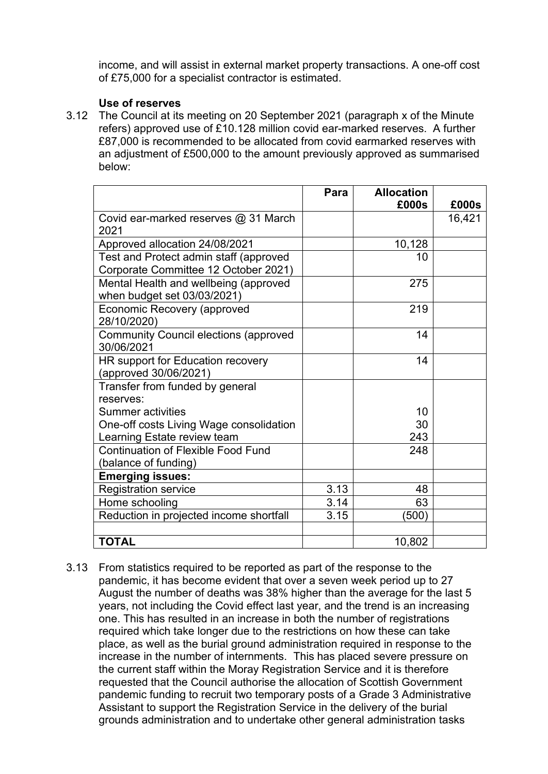income, and will assist in external market property transactions. A one-off cost of £75,000 for a specialist contractor is estimated.

### **Use of reserves**

3.12 The Council at its meeting on 20 September 2021 (paragraph x of the Minute refers) approved use of £10.128 million covid ear-marked reserves. A further £87,000 is recommended to be allocated from covid earmarked reserves with an adjustment of £500,000 to the amount previously approved as summarised below:

|                                              | Para | <b>Allocation</b><br>£000s | £000s  |
|----------------------------------------------|------|----------------------------|--------|
| Covid ear-marked reserves @ 31 March         |      |                            | 16,421 |
| 2021                                         |      |                            |        |
| Approved allocation 24/08/2021               |      | 10,128                     |        |
| Test and Protect admin staff (approved       |      | 10                         |        |
| Corporate Committee 12 October 2021)         |      |                            |        |
| Mental Health and wellbeing (approved        |      | 275                        |        |
| when budget set 03/03/2021)                  |      |                            |        |
| <b>Economic Recovery (approved</b>           |      | 219                        |        |
| 28/10/2020)                                  |      |                            |        |
| <b>Community Council elections (approved</b> |      | 14                         |        |
| 30/06/2021                                   |      |                            |        |
| HR support for Education recovery            |      | 14                         |        |
| (approved 30/06/2021)                        |      |                            |        |
| Transfer from funded by general              |      |                            |        |
| reserves:                                    |      |                            |        |
| <b>Summer activities</b>                     |      | 10                         |        |
| One-off costs Living Wage consolidation      |      | 30                         |        |
| Learning Estate review team                  |      | 243                        |        |
| <b>Continuation of Flexible Food Fund</b>    |      | 248                        |        |
| (balance of funding)                         |      |                            |        |
| <b>Emerging issues:</b>                      |      |                            |        |
| <b>Registration service</b>                  | 3.13 | 48                         |        |
| Home schooling                               | 3.14 | 63                         |        |
| Reduction in projected income shortfall      | 3.15 | (500)                      |        |
|                                              |      |                            |        |
| <b>TOTAL</b>                                 |      | 10,802                     |        |

3.13 From statistics required to be reported as part of the response to the pandemic, it has become evident that over a seven week period up to 27 August the number of deaths was 38% higher than the average for the last 5 years, not including the Covid effect last year, and the trend is an increasing one. This has resulted in an increase in both the number of registrations required which take longer due to the restrictions on how these can take place, as well as the burial ground administration required in response to the increase in the number of internments. This has placed severe pressure on the current staff within the Moray Registration Service and it is therefore requested that the Council authorise the allocation of Scottish Government pandemic funding to recruit two temporary posts of a Grade 3 Administrative Assistant to support the Registration Service in the delivery of the burial grounds administration and to undertake other general administration tasks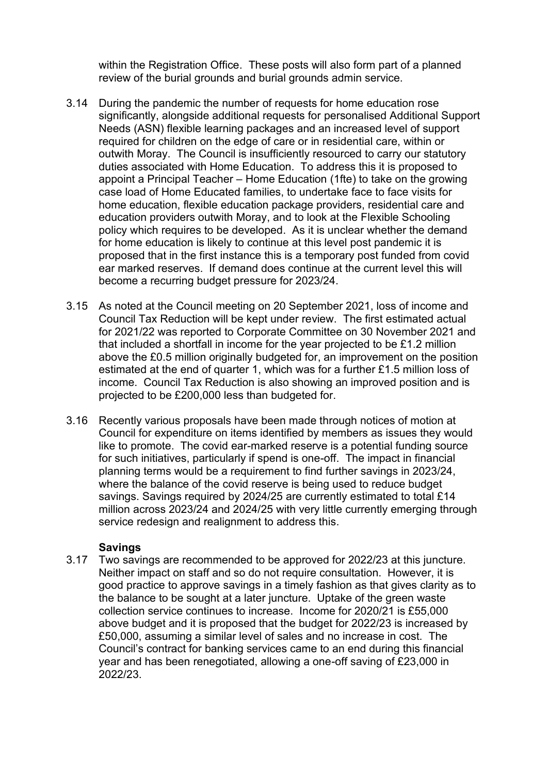within the Registration Office. These posts will also form part of a planned review of the burial grounds and burial grounds admin service.

- 3.14 During the pandemic the number of requests for home education rose significantly, alongside additional requests for personalised Additional Support Needs (ASN) flexible learning packages and an increased level of support required for children on the edge of care or in residential care, within or outwith Moray. The Council is insufficiently resourced to carry our statutory duties associated with Home Education. To address this it is proposed to appoint a Principal Teacher – Home Education (1fte) to take on the growing case load of Home Educated families, to undertake face to face visits for home education, flexible education package providers, residential care and education providers outwith Moray, and to look at the Flexible Schooling policy which requires to be developed. As it is unclear whether the demand for home education is likely to continue at this level post pandemic it is proposed that in the first instance this is a temporary post funded from covid ear marked reserves. If demand does continue at the current level this will become a recurring budget pressure for 2023/24.
- 3.15 As noted at the Council meeting on 20 September 2021, loss of income and Council Tax Reduction will be kept under review. The first estimated actual for 2021/22 was reported to Corporate Committee on 30 November 2021 and that included a shortfall in income for the year projected to be £1.2 million above the £0.5 million originally budgeted for, an improvement on the position estimated at the end of quarter 1, which was for a further £1.5 million loss of income. Council Tax Reduction is also showing an improved position and is projected to be £200,000 less than budgeted for.
- 3.16 Recently various proposals have been made through notices of motion at Council for expenditure on items identified by members as issues they would like to promote. The covid ear-marked reserve is a potential funding source for such initiatives, particularly if spend is one-off. The impact in financial planning terms would be a requirement to find further savings in 2023/24, where the balance of the covid reserve is being used to reduce budget savings. Savings required by 2024/25 are currently estimated to total £14 million across 2023/24 and 2024/25 with very little currently emerging through service redesign and realignment to address this.

# **Savings**

3.17 Two savings are recommended to be approved for 2022/23 at this juncture. Neither impact on staff and so do not require consultation. However, it is good practice to approve savings in a timely fashion as that gives clarity as to the balance to be sought at a later juncture. Uptake of the green waste collection service continues to increase. Income for 2020/21 is £55,000 above budget and it is proposed that the budget for 2022/23 is increased by £50,000, assuming a similar level of sales and no increase in cost. The Council's contract for banking services came to an end during this financial year and has been renegotiated, allowing a one-off saving of £23,000 in 2022/23.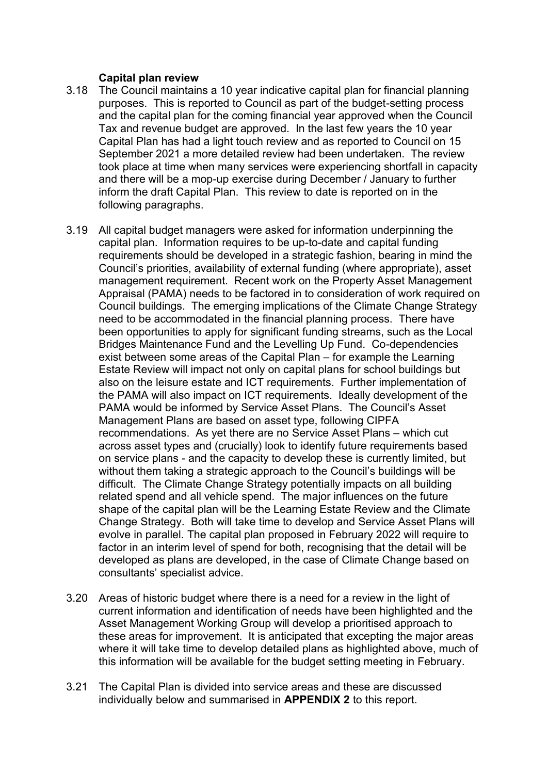### **Capital plan review**

- 3.18 The Council maintains a 10 year indicative capital plan for financial planning purposes. This is reported to Council as part of the budget-setting process and the capital plan for the coming financial year approved when the Council Tax and revenue budget are approved. In the last few years the 10 year Capital Plan has had a light touch review and as reported to Council on 15 September 2021 a more detailed review had been undertaken. The review took place at time when many services were experiencing shortfall in capacity and there will be a mop-up exercise during December / January to further inform the draft Capital Plan. This review to date is reported on in the following paragraphs.
- 3.19 All capital budget managers were asked for information underpinning the capital plan. Information requires to be up-to-date and capital funding requirements should be developed in a strategic fashion, bearing in mind the Council's priorities, availability of external funding (where appropriate), asset management requirement. Recent work on the Property Asset Management Appraisal (PAMA) needs to be factored in to consideration of work required on Council buildings. The emerging implications of the Climate Change Strategy need to be accommodated in the financial planning process. There have been opportunities to apply for significant funding streams, such as the Local Bridges Maintenance Fund and the Levelling Up Fund. Co-dependencies exist between some areas of the Capital Plan – for example the Learning Estate Review will impact not only on capital plans for school buildings but also on the leisure estate and ICT requirements. Further implementation of the PAMA will also impact on ICT requirements. Ideally development of the PAMA would be informed by Service Asset Plans. The Council's Asset Management Plans are based on asset type, following CIPFA recommendations. As yet there are no Service Asset Plans – which cut across asset types and (crucially) look to identify future requirements based on service plans - and the capacity to develop these is currently limited, but without them taking a strategic approach to the Council's buildings will be difficult. The Climate Change Strategy potentially impacts on all building related spend and all vehicle spend. The major influences on the future shape of the capital plan will be the Learning Estate Review and the Climate Change Strategy. Both will take time to develop and Service Asset Plans will evolve in parallel. The capital plan proposed in February 2022 will require to factor in an interim level of spend for both, recognising that the detail will be developed as plans are developed, in the case of Climate Change based on consultants' specialist advice.
- 3.20 Areas of historic budget where there is a need for a review in the light of current information and identification of needs have been highlighted and the Asset Management Working Group will develop a prioritised approach to these areas for improvement. It is anticipated that excepting the major areas where it will take time to develop detailed plans as highlighted above, much of this information will be available for the budget setting meeting in February.
- 3.21 The Capital Plan is divided into service areas and these are discussed individually below and summarised in **APPENDIX 2** to this report.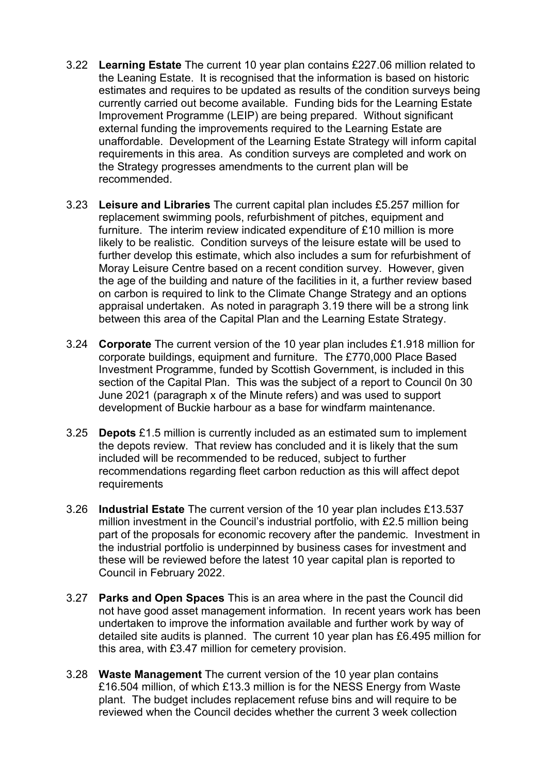- 3.22 **Learning Estate** The current 10 year plan contains £227.06 million related to the Leaning Estate. It is recognised that the information is based on historic estimates and requires to be updated as results of the condition surveys being currently carried out become available. Funding bids for the Learning Estate Improvement Programme (LEIP) are being prepared. Without significant external funding the improvements required to the Learning Estate are unaffordable. Development of the Learning Estate Strategy will inform capital requirements in this area. As condition surveys are completed and work on the Strategy progresses amendments to the current plan will be recommended.
- 3.23 **Leisure and Libraries** The current capital plan includes £5.257 million for replacement swimming pools, refurbishment of pitches, equipment and furniture. The interim review indicated expenditure of £10 million is more likely to be realistic. Condition surveys of the leisure estate will be used to further develop this estimate, which also includes a sum for refurbishment of Moray Leisure Centre based on a recent condition survey. However, given the age of the building and nature of the facilities in it, a further review based on carbon is required to link to the Climate Change Strategy and an options appraisal undertaken. As noted in paragraph 3.19 there will be a strong link between this area of the Capital Plan and the Learning Estate Strategy.
- 3.24 **Corporate** The current version of the 10 year plan includes £1.918 million for corporate buildings, equipment and furniture. The £770,000 Place Based Investment Programme, funded by Scottish Government, is included in this section of the Capital Plan. This was the subject of a report to Council 0n 30 June 2021 (paragraph x of the Minute refers) and was used to support development of Buckie harbour as a base for windfarm maintenance.
- 3.25 **Depots** £1.5 million is currently included as an estimated sum to implement the depots review. That review has concluded and it is likely that the sum included will be recommended to be reduced, subject to further recommendations regarding fleet carbon reduction as this will affect depot requirements
- 3.26 **Industrial Estate** The current version of the 10 year plan includes £13.537 million investment in the Council's industrial portfolio, with £2.5 million being part of the proposals for economic recovery after the pandemic. Investment in the industrial portfolio is underpinned by business cases for investment and these will be reviewed before the latest 10 year capital plan is reported to Council in February 2022.
- 3.27 **Parks and Open Spaces** This is an area where in the past the Council did not have good asset management information. In recent years work has been undertaken to improve the information available and further work by way of detailed site audits is planned. The current 10 year plan has £6.495 million for this area, with £3.47 million for cemetery provision.
- 3.28 **Waste Management** The current version of the 10 year plan contains £16.504 million, of which £13.3 million is for the NESS Energy from Waste plant. The budget includes replacement refuse bins and will require to be reviewed when the Council decides whether the current 3 week collection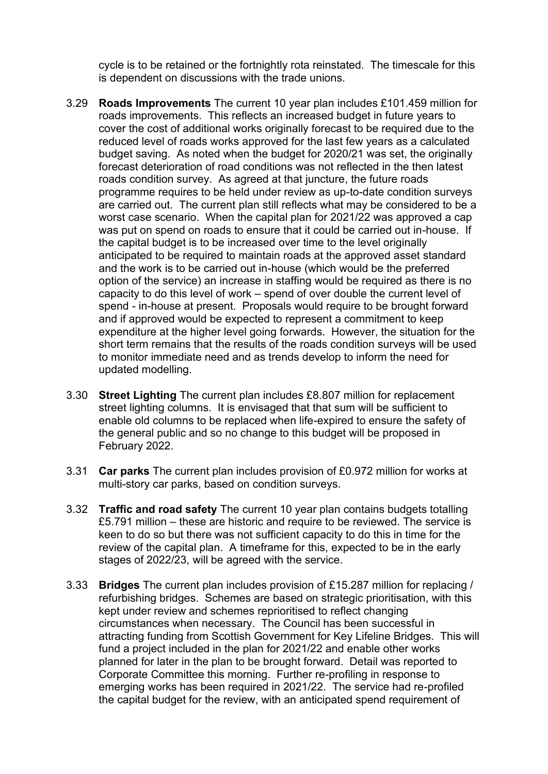cycle is to be retained or the fortnightly rota reinstated. The timescale for this is dependent on discussions with the trade unions.

- 3.29 **Roads Improvements** The current 10 year plan includes £101.459 million for roads improvements. This reflects an increased budget in future years to cover the cost of additional works originally forecast to be required due to the reduced level of roads works approved for the last few years as a calculated budget saving. As noted when the budget for 2020/21 was set, the originally forecast deterioration of road conditions was not reflected in the then latest roads condition survey. As agreed at that juncture, the future roads programme requires to be held under review as up-to-date condition surveys are carried out. The current plan still reflects what may be considered to be a worst case scenario. When the capital plan for 2021/22 was approved a cap was put on spend on roads to ensure that it could be carried out in-house. If the capital budget is to be increased over time to the level originally anticipated to be required to maintain roads at the approved asset standard and the work is to be carried out in-house (which would be the preferred option of the service) an increase in staffing would be required as there is no capacity to do this level of work – spend of over double the current level of spend - in-house at present. Proposals would require to be brought forward and if approved would be expected to represent a commitment to keep expenditure at the higher level going forwards. However, the situation for the short term remains that the results of the roads condition surveys will be used to monitor immediate need and as trends develop to inform the need for updated modelling.
- 3.30 **Street Lighting** The current plan includes £8.807 million for replacement street lighting columns. It is envisaged that that sum will be sufficient to enable old columns to be replaced when life-expired to ensure the safety of the general public and so no change to this budget will be proposed in February 2022.
- 3.31 **Car parks** The current plan includes provision of £0.972 million for works at multi-story car parks, based on condition surveys.
- 3.32 **Traffic and road safety** The current 10 year plan contains budgets totalling £5.791 million – these are historic and require to be reviewed. The service is keen to do so but there was not sufficient capacity to do this in time for the review of the capital plan. A timeframe for this, expected to be in the early stages of 2022/23, will be agreed with the service.
- 3.33 **Bridges** The current plan includes provision of £15.287 million for replacing / refurbishing bridges. Schemes are based on strategic prioritisation, with this kept under review and schemes reprioritised to reflect changing circumstances when necessary. The Council has been successful in attracting funding from Scottish Government for Key Lifeline Bridges. This will fund a project included in the plan for 2021/22 and enable other works planned for later in the plan to be brought forward. Detail was reported to Corporate Committee this morning. Further re-profiling in response to emerging works has been required in 2021/22. The service had re-profiled the capital budget for the review, with an anticipated spend requirement of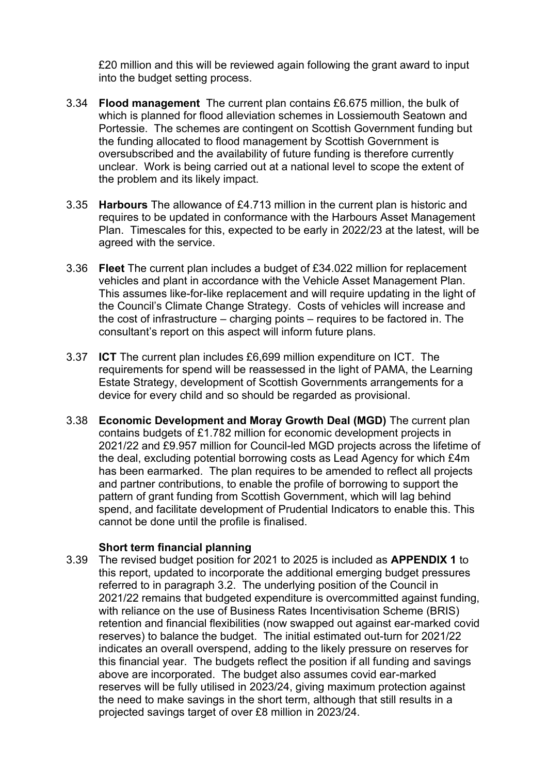£20 million and this will be reviewed again following the grant award to input into the budget setting process.

- 3.34 **Flood management** The current plan contains £6.675 million, the bulk of which is planned for flood alleviation schemes in Lossiemouth Seatown and Portessie. The schemes are contingent on Scottish Government funding but the funding allocated to flood management by Scottish Government is oversubscribed and the availability of future funding is therefore currently unclear. Work is being carried out at a national level to scope the extent of the problem and its likely impact.
- 3.35 **Harbours** The allowance of £4.713 million in the current plan is historic and requires to be updated in conformance with the Harbours Asset Management Plan. Timescales for this, expected to be early in 2022/23 at the latest, will be agreed with the service.
- 3.36 **Fleet** The current plan includes a budget of £34.022 million for replacement vehicles and plant in accordance with the Vehicle Asset Management Plan. This assumes like-for-like replacement and will require updating in the light of the Council's Climate Change Strategy. Costs of vehicles will increase and the cost of infrastructure – charging points – requires to be factored in. The consultant's report on this aspect will inform future plans.
- 3.37 **ICT** The current plan includes £6,699 million expenditure on ICT. The requirements for spend will be reassessed in the light of PAMA, the Learning Estate Strategy, development of Scottish Governments arrangements for a device for every child and so should be regarded as provisional.
- 3.38 **Economic Development and Moray Growth Deal (MGD)** The current plan contains budgets of £1.782 million for economic development projects in 2021/22 and £9.957 million for Council-led MGD projects across the lifetime of the deal, excluding potential borrowing costs as Lead Agency for which £4m has been earmarked. The plan requires to be amended to reflect all projects and partner contributions, to enable the profile of borrowing to support the pattern of grant funding from Scottish Government, which will lag behind spend, and facilitate development of Prudential Indicators to enable this. This cannot be done until the profile is finalised.

### **Short term financial planning**

3.39 The revised budget position for 2021 to 2025 is included as **APPENDIX 1** to this report, updated to incorporate the additional emerging budget pressures referred to in paragraph 3.2. The underlying position of the Council in 2021/22 remains that budgeted expenditure is overcommitted against funding, with reliance on the use of Business Rates Incentivisation Scheme (BRIS) retention and financial flexibilities (now swapped out against ear-marked covid reserves) to balance the budget. The initial estimated out-turn for 2021/22 indicates an overall overspend, adding to the likely pressure on reserves for this financial year. The budgets reflect the position if all funding and savings above are incorporated. The budget also assumes covid ear-marked reserves will be fully utilised in 2023/24, giving maximum protection against the need to make savings in the short term, although that still results in a projected savings target of over £8 million in 2023/24.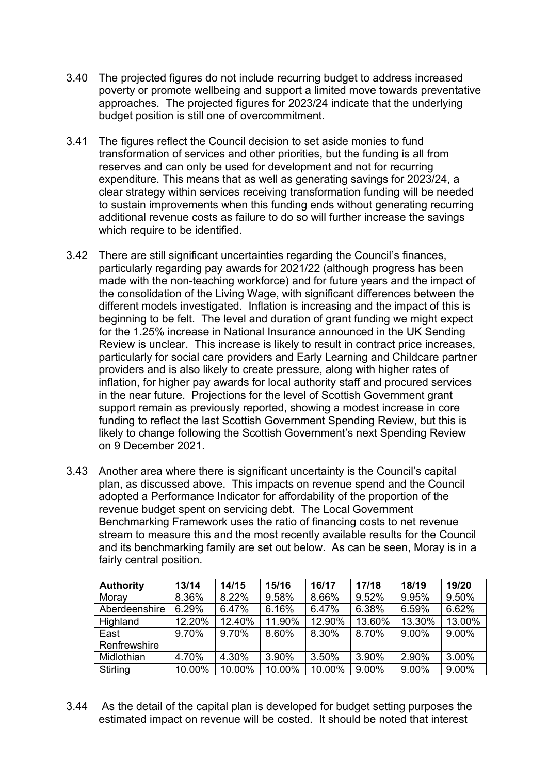- 3.40 The projected figures do not include recurring budget to address increased poverty or promote wellbeing and support a limited move towards preventative approaches. The projected figures for 2023/24 indicate that the underlying budget position is still one of overcommitment.
- 3.41 The figures reflect the Council decision to set aside monies to fund transformation of services and other priorities, but the funding is all from reserves and can only be used for development and not for recurring expenditure. This means that as well as generating savings for 2023/24, a clear strategy within services receiving transformation funding will be needed to sustain improvements when this funding ends without generating recurring additional revenue costs as failure to do so will further increase the savings which require to be identified.
- 3.42 There are still significant uncertainties regarding the Council's finances, particularly regarding pay awards for 2021/22 (although progress has been made with the non-teaching workforce) and for future years and the impact of the consolidation of the Living Wage, with significant differences between the different models investigated. Inflation is increasing and the impact of this is beginning to be felt. The level and duration of grant funding we might expect for the 1.25% increase in National Insurance announced in the UK Sending Review is unclear. This increase is likely to result in contract price increases, particularly for social care providers and Early Learning and Childcare partner providers and is also likely to create pressure, along with higher rates of inflation, for higher pay awards for local authority staff and procured services in the near future. Projections for the level of Scottish Government grant support remain as previously reported, showing a modest increase in core funding to reflect the last Scottish Government Spending Review, but this is likely to change following the Scottish Government's next Spending Review on 9 December 2021.
- 3.43 Another area where there is significant uncertainty is the Council's capital plan, as discussed above. This impacts on revenue spend and the Council adopted a Performance Indicator for affordability of the proportion of the revenue budget spent on servicing debt. The Local Government Benchmarking Framework uses the ratio of financing costs to net revenue stream to measure this and the most recently available results for the Council and its benchmarking family are set out below. As can be seen, Moray is in a fairly central position.

| <b>Authority</b> | 13/14  | 14/15  | 15/16  | 16/17  | 17/18  | 18/19  | 19/20  |
|------------------|--------|--------|--------|--------|--------|--------|--------|
| Moray            | 8.36%  | 8.22%  | 9.58%  | 8.66%  | 9.52%  | 9.95%  | 9.50%  |
| Aberdeenshire    | 6.29%  | 6.47%  | 6.16%  | 6.47%  | 6.38%  | 6.59%  | 6.62%  |
| Highland         | 12.20% | 12.40% | 11.90% | 12.90% | 13.60% | 13.30% | 13.00% |
| East             | 9.70%  | 9.70%  | 8.60%  | 8.30%  | 8.70%  | 9.00%  | 9.00%  |
| Renfrewshire     |        |        |        |        |        |        |        |
| Midlothian       | 4.70%  | 4.30%  | 3.90%  | 3.50%  | 3.90%  | 2.90%  | 3.00%  |
| Stirling         | 10.00% | 10.00% | 10.00% | 10.00% | 9.00%  | 9.00%  | 9.00%  |

3.44 As the detail of the capital plan is developed for budget setting purposes the estimated impact on revenue will be costed. It should be noted that interest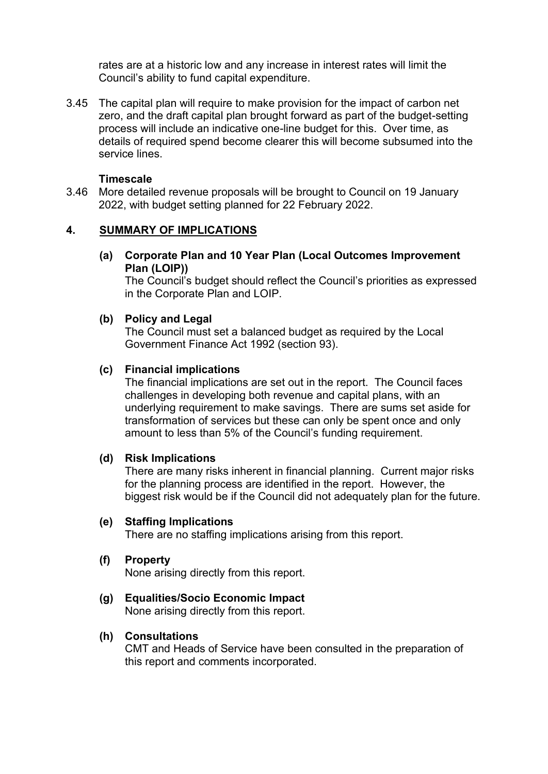rates are at a historic low and any increase in interest rates will limit the Council's ability to fund capital expenditure.

3.45 The capital plan will require to make provision for the impact of carbon net zero, and the draft capital plan brought forward as part of the budget-setting process will include an indicative one-line budget for this. Over time, as details of required spend become clearer this will become subsumed into the service lines.

#### **Timescale**

3.46 More detailed revenue proposals will be brought to Council on 19 January 2022, with budget setting planned for 22 February 2022.

### **4. SUMMARY OF IMPLICATIONS**

**(a) Corporate Plan and 10 Year Plan (Local Outcomes Improvement Plan (LOIP))** 

The Council's budget should reflect the Council's priorities as expressed in the Corporate Plan and LOIP.

# **(b) Policy and Legal**

The Council must set a balanced budget as required by the Local Government Finance Act 1992 (section 93).

#### **(c) Financial implications**

The financial implications are set out in the report. The Council faces challenges in developing both revenue and capital plans, with an underlying requirement to make savings. There are sums set aside for transformation of services but these can only be spent once and only amount to less than 5% of the Council's funding requirement.

#### **(d) Risk Implications**

There are many risks inherent in financial planning. Current major risks for the planning process are identified in the report. However, the biggest risk would be if the Council did not adequately plan for the future.

#### **(e) Staffing Implications**

There are no staffing implications arising from this report.

#### **(f) Property**

None arising directly from this report.

#### **(g) Equalities/Socio Economic Impact**

None arising directly from this report.

#### **(h) Consultations**

CMT and Heads of Service have been consulted in the preparation of this report and comments incorporated.